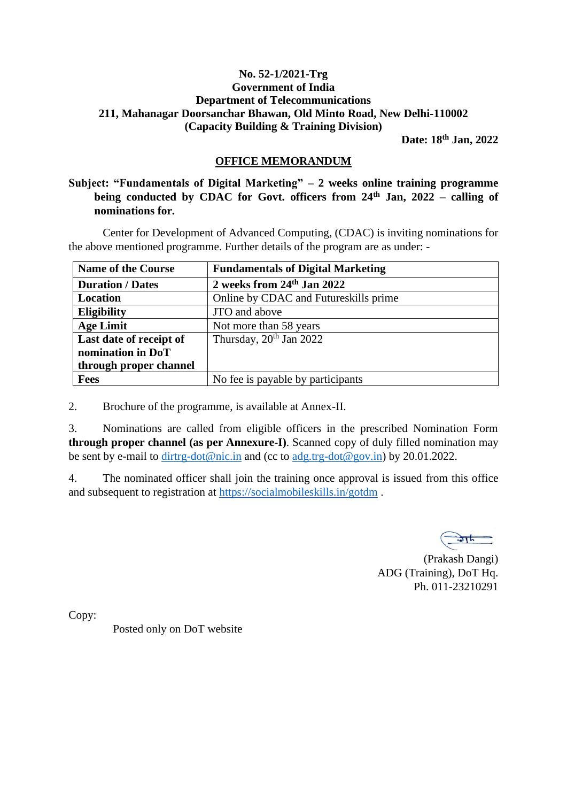#### **No. 52-1/2021-Trg Government of India Department of Telecommunications 211, Mahanagar Doorsanchar Bhawan, Old Minto Road, New Delhi-110002 (Capacity Building & Training Division)**

 **Date: 18th Jan, 2022**

#### **OFFICE MEMORANDUM**

**Subject: "Fundamentals of Digital Marketing" – 2 weeks online training programme being conducted by CDAC for Govt. officers from 24th Jan, 2022 – calling of nominations for.**

Center for Development of Advanced Computing, (CDAC) is inviting nominations for the above mentioned programme. Further details of the program are as under: -

| <b>Name of the Course</b> | <b>Fundamentals of Digital Marketing</b> |
|---------------------------|------------------------------------------|
| <b>Duration / Dates</b>   | 2 weeks from 24th Jan 2022               |
| Location                  | Online by CDAC and Futureskills prime    |
| <b>Eligibility</b>        | JTO and above                            |
| <b>Age Limit</b>          | Not more than 58 years                   |
| Last date of receipt of   | Thursday, $20^{th}$ Jan 2022             |
| nomination in DoT         |                                          |
| through proper channel    |                                          |
| <b>Fees</b>               | No fee is payable by participants        |

2. Brochure of the programme, is available at Annex-II.

3. Nominations are called from eligible officers in the prescribed Nomination Form **through proper channel (as per Annexure-I)**. Scanned copy of duly filled nomination may be sent by e-mail to [dirtrg-dot@nic.in](mailto:dirtrg-dot@nic.in) and (cc to [adg.trg-dot@gov.in\)](mailto:adg.trg-dot@gov.in) by 20.01.2022.

4. The nominated officer shall join the training once approval is issued from this office and subsequent to registration at<https://socialmobileskills.in/gotdm> .

(Prakash Dangi) ADG (Training), DoT Hq. Ph. 011-23210291

Copy:

Posted only on DoT website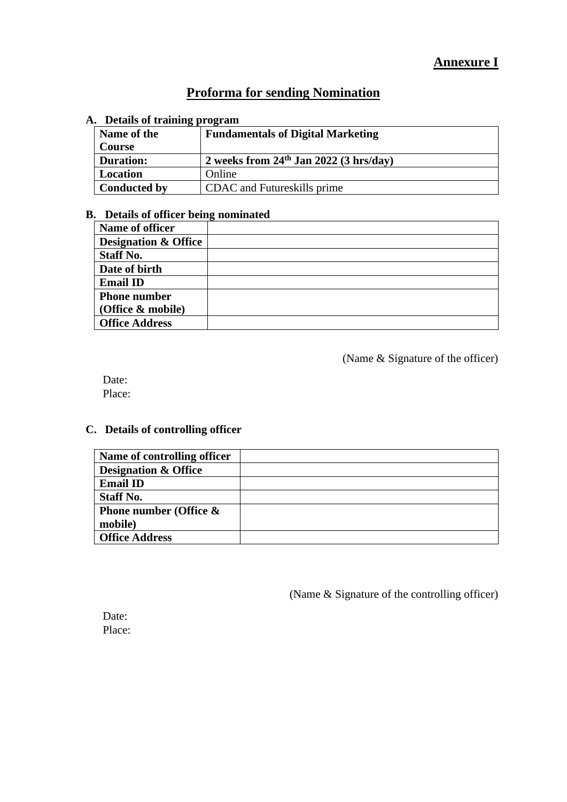# **Proforma for sending Nomination**

#### **A. Details of training program**

| Name of the         | <b>Fundamentals of Digital Marketing</b>   |
|---------------------|--------------------------------------------|
| Course              |                                            |
| <b>Duration:</b>    | 2 weeks from $24th$ Jan $2022$ (3 hrs/day) |
| Location            | Online                                     |
| <b>Conducted by</b> | CDAC and Futureskills prime                |

### **B. Details of officer being nominated**

| Name of officer                 |  |
|---------------------------------|--|
| <b>Designation &amp; Office</b> |  |
| <b>Staff No.</b>                |  |
| Date of birth                   |  |
| <b>Email ID</b>                 |  |
| <b>Phone number</b>             |  |
| (Office & mobile)               |  |
| <b>Office Address</b>           |  |

(Name & Signature of the officer)

Date: Place:

## **C. Details of controlling officer**

| Name of controlling officer     |  |
|---------------------------------|--|
| <b>Designation &amp; Office</b> |  |
| <b>Email ID</b>                 |  |
| <b>Staff No.</b>                |  |
| Phone number (Office $\&$       |  |
| mobile)                         |  |
| <b>Office Address</b>           |  |

(Name & Signature of the controlling officer)

Date: Place: